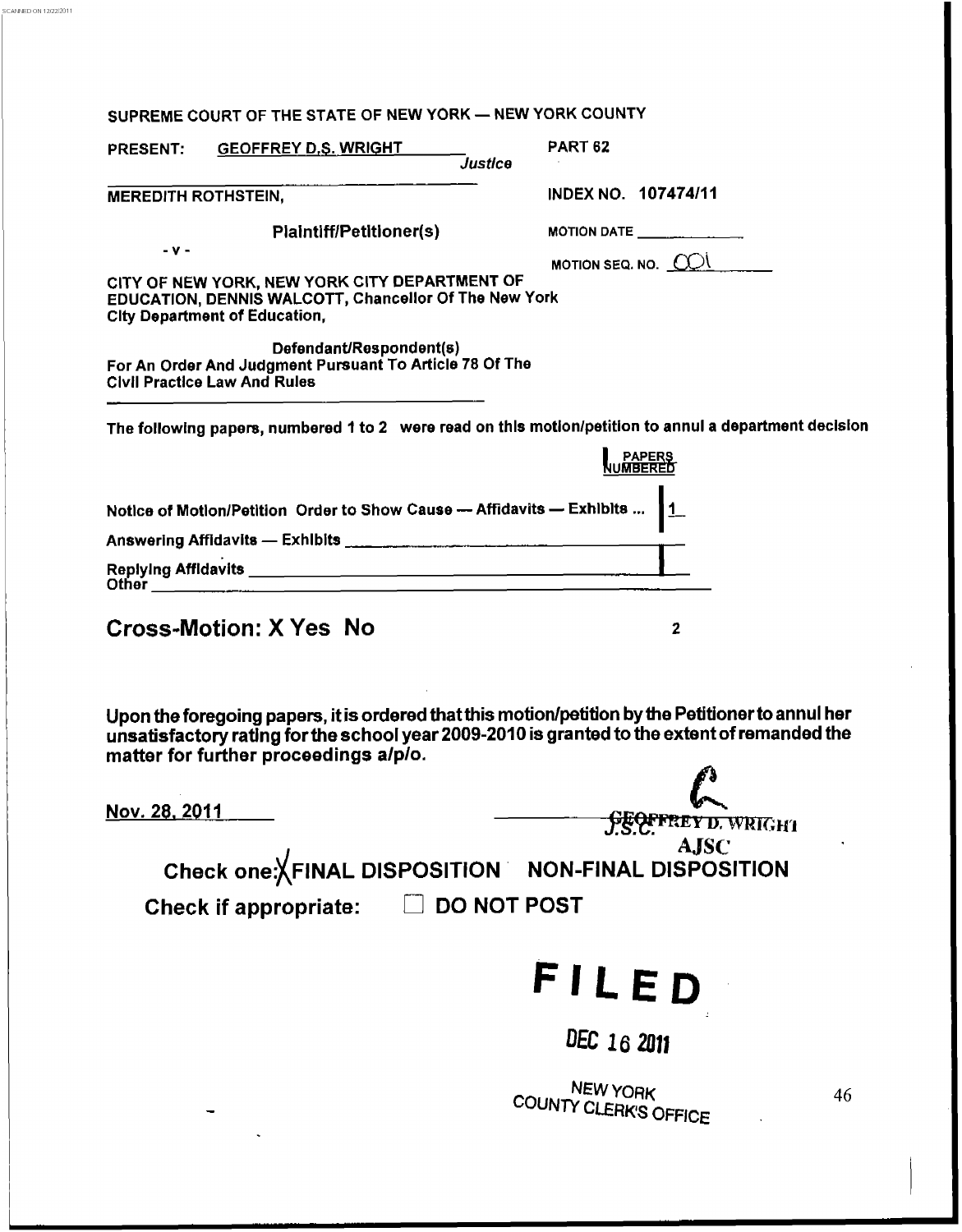| SUPREME COURT OF THE STATE OF NEW YORK - NEW YORK COUNTY                                                                                                                                                                                         |                                                |  |
|--------------------------------------------------------------------------------------------------------------------------------------------------------------------------------------------------------------------------------------------------|------------------------------------------------|--|
| PRESENT: GEOFFREY D.S. WRIGHT<br><b>Justice</b>                                                                                                                                                                                                  | PART <sub>62</sub>                             |  |
| <b>MEREDITH ROTHSTEIN,</b>                                                                                                                                                                                                                       | <b>INDEX NO. 107474/11</b>                     |  |
| Plaintiff/Petitioner(s)<br>- v -                                                                                                                                                                                                                 | MOTION DATE $\qquad \qquad \qquad \qquad$      |  |
| <b>MOTION SEQ. NO.</b> $\overline{OQ}$<br>CITY OF NEW YORK, NEW YORK CITY DEPARTMENT OF<br>EDUCATION, DENNIS WALCOTT, Chancellor Of The New York<br><b>City Department of Education,</b>                                                         |                                                |  |
| Defendant/Respondent(s)<br>For An Order And Judgment Pursuant To Article 78 Of The<br>Civil Practice Law And Rules                                                                                                                               |                                                |  |
| The following papers, numbered 1 to 2 were read on this motion/petition to annul a department decision                                                                                                                                           |                                                |  |
|                                                                                                                                                                                                                                                  | <b>NUMBERED</b><br>NUMBERED                    |  |
| Notice of Motion/Petition Order to Show Cause --- Affidavits -- Exhibits $1.$                                                                                                                                                                    |                                                |  |
| Answering Affidavits - Exhibits [1982] The Contract of Affidavits - Contract of Affidavits - Contract of Affidavits                                                                                                                              |                                                |  |
| Other $\qquad \qquad \qquad$                                                                                                                                                                                                                     |                                                |  |
| <b>Cross-Motion: X Yes No</b>                                                                                                                                                                                                                    | $\mathbf{2}$                                   |  |
| Upon the foregoing papers, it is ordered that this motion/petition by the Petitioner to annul her<br>unsatisfactory rating for the school year 2009-2010 is granted to the extent of remanded the<br>matter for further proceedings a/p/o.<br>A. |                                                |  |
| Nov. 28, 2011                                                                                                                                                                                                                                    |                                                |  |
|                                                                                                                                                                                                                                                  | WRIGHT                                         |  |
| Check one: FINAL DISPOSITION NON-FINAL DISPOSITION                                                                                                                                                                                               | AJSC                                           |  |
| <b>DO NOT POST</b><br><b>Check if appropriate:</b>                                                                                                                                                                                               |                                                |  |
|                                                                                                                                                                                                                                                  | FILED<br>DEC 16 2011                           |  |
|                                                                                                                                                                                                                                                  | <b>NEW YORK</b><br>46<br>COUNTY CLERK'S OFFICE |  |

SCANNED ON 12/22/2011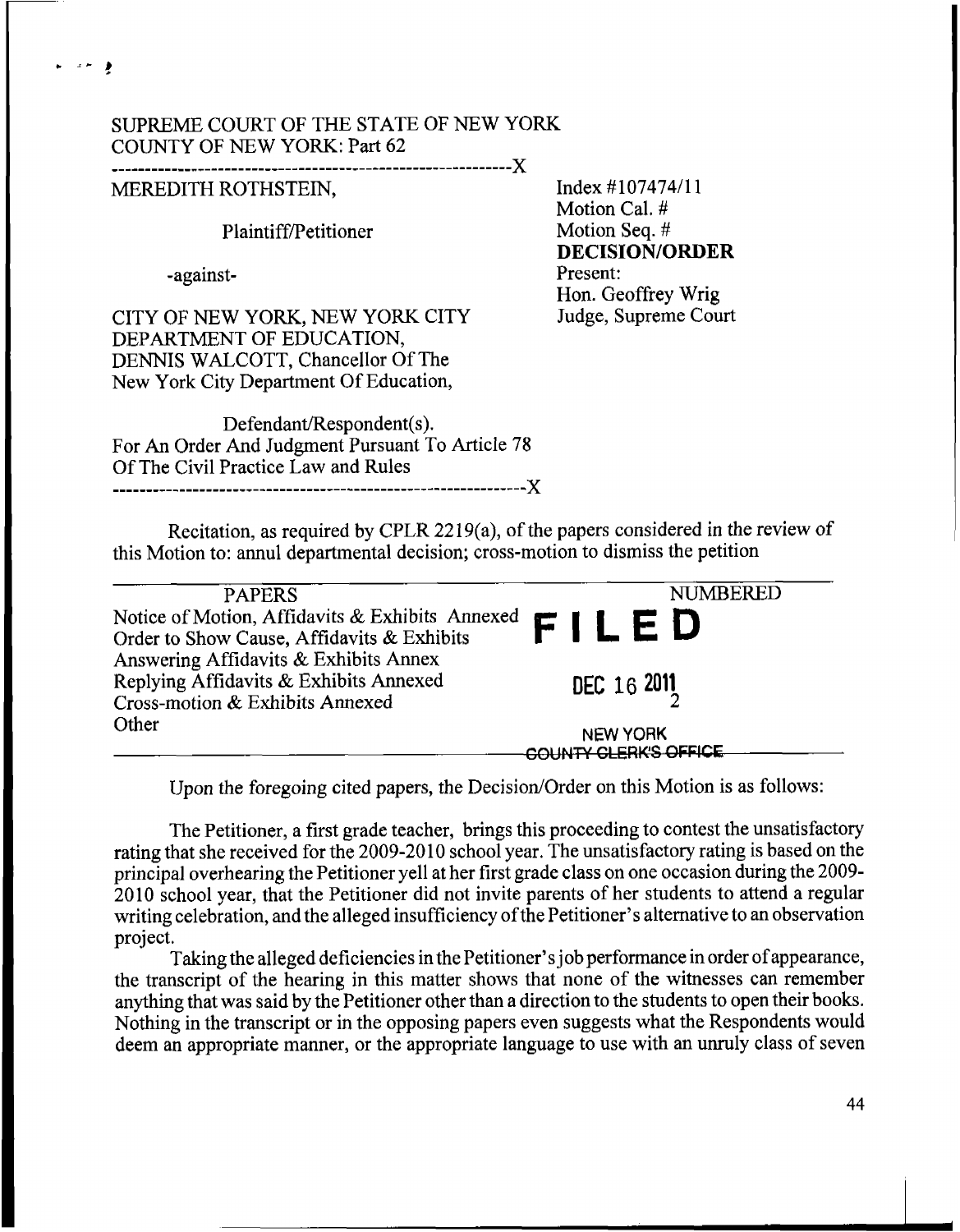## SUPREME COURT OF THE STATE OF NEW YORK COUNTY OF NEW YORK: Part **62 \_\_\_-\_\_\_\_\_\_\_\_"r\_"\_\_\_\_~---------------------------"--"--------** X

## MEREDITH ROTHSTEIN, Index #107474/11

Plaintiff/Petitioner

*c* **<sup>c</sup>**

CITY OF NEW YORK, NEW YORK CITY DEPARTMENT OF EDUCATION, DENNIS WALCOTT, Chancellor Of The New York City Department Of Education,

Defendant/Respondent(s). For An Order And Judgment Pursuant To Article 78 Of The Civil Practice Law and Rules 

Motion Cal. #<br>Motion Seq. # **DECISION/ORDER**  Hon. Geoffrey Wrig Judge, Supreme Court -against- Present:

Recitation, as required by CPLR *22* 19(a), of the papers considered in the review of this Motion to: annul departmental decision; cross-motion to dismiss the petition

| <b>PAPERS</b>                                                                                                                                                                                                            | <b>NUMBERED</b>                           |
|--------------------------------------------------------------------------------------------------------------------------------------------------------------------------------------------------------------------------|-------------------------------------------|
| Notice of Motion, Affidavits & Exhibits Annexed $\boldsymbol{\mathsf{F}}$   $\boldsymbol{\mathsf{L}}$ $\boldsymbol{\mathsf{E}}$ D<br>Order to Show Cause, Affidavits & Exhibits<br>Answering Affidavits & Exhibits Annex |                                           |
| Replying Affidavits & Exhibits Annexed<br>Cross-motion & Exhibits Annexed                                                                                                                                                | DEC 16 2011                               |
| Other                                                                                                                                                                                                                    | <b>NEW YORK</b><br>COUNTY OF FRICK OFFICE |

Upon the foregoing cited papers, the Decision/Order on this Motion is as follows:

The Petitioner, a first grade teacher, brings this proceeding to contest the unsatisfactory rating that she received for the 2009-20 10 school year. The unsatisfactory rating is based on the principal overhearing the Petitioner yell at her first grade class on one occasion during the 2009- 2010 school year, that the Petitioner did not invite parents of her students to attend a regular writing celebration, and the alleged insufficiency of the Petitioner's alternative to **an** observation project.

Taking the alleged deficiencies in the Petitioner's job performance in order of appearance, the transcript of the hearing in this matter shows that none of the witnesses can remember anything that was said by the Petitioner other than a direction to the students to **open** their books. Nothing in the transcript or in the opposing papers even suggests what the Respondents would deem an appropriate manner, or the appropriate language to use with an unruly class of seven